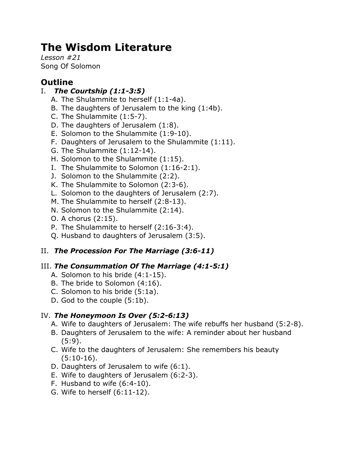# **The Wisdom Literature**

*Lesson #21* Song Of Solomon

# **Outline**

## I. *The Courtship (1:1-3:5)*

- A. The Shulammite to herself (1:1-4a).
- B. The daughters of Jerusalem to the king (1:4b).
- C. The Shulammite (1:5-7).
- D. The daughters of Jerusalem (1:8).
- E. Solomon to the Shulammite (1:9-10).
- F. Daughters of Jerusalem to the Shulammite (1:11).
- G. The Shulammite (1:12-14).
- H. Solomon to the Shulammite (1:15).
- I. The Shulammite to Solomon (1:16-2:1).
- J. Solomon to the Shulammite (2:2).
- K. The Shulammite to Solomon (2:3-6).
- L. Solomon to the daughters of Jerusalem (2:7).
- M. The Shulammite to herself (2:8-13).
- N. Solomon to the Shulammite (2:14).
- O. A chorus (2:15).
- P. The Shulammite to herself (2:16-3:4).
- Q. Husband to daughters of Jerusalem (3:5).

## II. *The Procession For The Marriage (3:6-11)*

## III. *The Consummation Of The Marriage (4:1-5:1)*

- A. Solomon to his bride (4:1-15).
- B. The bride to Solomon (4:16).
- C. Solomon to his bride (5:1a).
- D. God to the couple (5:1b).

## IV. *The Honeymoon Is Over (5:2-6:13)*

- A. Wife to daughters of Jerusalem: The wife rebuffs her husband (5:2-8).
- B. Daughters of Jerusalem to the wife: A reminder about her husband (5:9).
- C. Wife to the daughters of Jerusalem: She remembers his beauty (5:10-16).
- D. Daughters of Jerusalem to wife (6:1).
- E. Wife to daughters of Jerusalem (6:2-3).
- F. Husband to wife (6:4-10).
- G. Wife to herself (6:11-12).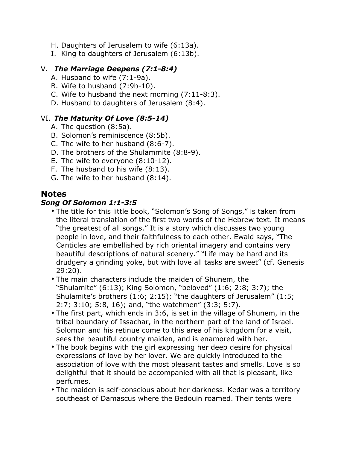- H. Daughters of Jerusalem to wife (6:13a).
- I. King to daughters of Jerusalem (6:13b).

#### V. *The Marriage Deepens (7:1-8:4)*

- A. Husband to wife (7:1-9a).
- B. Wife to husband (7:9b-10).
- C. Wife to husband the next morning (7:11-8:3).
- D. Husband to daughters of Jerusalem (8:4).

#### VI. *The Maturity Of Love (8:5-14)*

- A. The question (8:5a).
- B. Solomon's reminiscence (8:5b).
- C. The wife to her husband (8:6-7).
- D. The brothers of the Shulammite (8:8-9).
- E. The wife to everyone (8:10-12).
- F. The husband to his wife (8:13).
- G. The wife to her husband (8:14).

## **Notes**

#### *Song Of Solomon 1:1-3:5*

- The title for this little book, "Solomon's Song of Songs," is taken from the literal translation of the first two words of the Hebrew text. It means "the greatest of all songs." It is a story which discusses two young people in love, and their faithfulness to each other. Ewald says, "The Canticles are embellished by rich oriental imagery and contains very beautiful descriptions of natural scenery." "Life may be hard and its drudgery a grinding yoke, but with love all tasks are sweet" (cf. Genesis 29:20).
- The main characters include the maiden of Shunem, the "Shulamite" (6:13); King Solomon, "beloved" (1:6; 2:8; 3:7); the Shulamite's brothers (1:6; 2:15); "the daughters of Jerusalem" (1:5; 2:7; 3:10; 5:8, 16); and, "the watchmen" (3:3; 5:7).
- The first part, which ends in 3:6, is set in the village of Shunem, in the tribal boundary of Issachar, in the northern part of the land of Israel. Solomon and his retinue come to this area of his kingdom for a visit, sees the beautiful country maiden, and is enamored with her.
- The book begins with the girl expressing her deep desire for physical expressions of love by her lover. We are quickly introduced to the association of love with the most pleasant tastes and smells. Love is so delightful that it should be accompanied with all that is pleasant, like perfumes.
- The maiden is self-conscious about her darkness. Kedar was a territory southeast of Damascus where the Bedouin roamed. Their tents were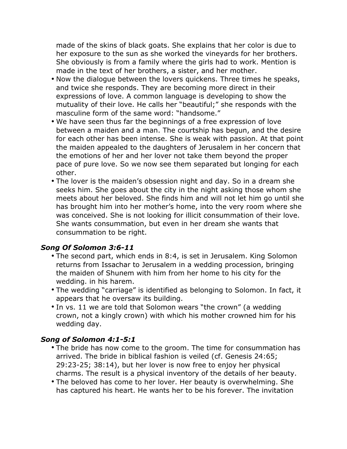made of the skins of black goats. She explains that her color is due to her exposure to the sun as she worked the vineyards for her brothers. She obviously is from a family where the girls had to work. Mention is made in the text of her brothers, a sister, and her mother.

- Now the dialogue between the lovers quickens. Three times he speaks, and twice she responds. They are becoming more direct in their expressions of love. A common language is developing to show the mutuality of their love. He calls her "beautiful;" she responds with the masculine form of the same word: "handsome."
- We have seen thus far the beginnings of a free expression of love between a maiden and a man. The courtship has begun, and the desire for each other has been intense. She is weak with passion. At that point the maiden appealed to the daughters of Jerusalem in her concern that the emotions of her and her lover not take them beyond the proper pace of pure love. So we now see them separated but longing for each other.
- The lover is the maiden's obsession night and day. So in a dream she seeks him. She goes about the city in the night asking those whom she meets about her beloved. She finds him and will not let him go until she has brought him into her mother's home, into the very room where she was conceived. She is not looking for illicit consummation of their love. She wants consummation, but even in her dream she wants that consummation to be right.

#### *Song Of Solomon 3:6-11*

- The second part, which ends in 8:4, is set in Jerusalem. King Solomon returns from Issachar to Jerusalem in a wedding procession, bringing the maiden of Shunem with him from her home to his city for the wedding. in his harem.
- The wedding "carriage" is identified as belonging to Solomon. In fact, it appears that he oversaw its building.
- In vs. 11 we are told that Solomon wears "the crown" (a wedding crown, not a kingly crown) with which his mother crowned him for his wedding day.

#### *Song of Solomon 4:1-5:1*

- The bride has now come to the groom. The time for consummation has arrived. The bride in biblical fashion is veiled (cf. Genesis 24:65; 29:23-25; 38:14), but her lover is now free to enjoy her physical charms. The result is a physical inventory of the details of her beauty.
- The beloved has come to her lover. Her beauty is overwhelming. She has captured his heart. He wants her to be his forever. The invitation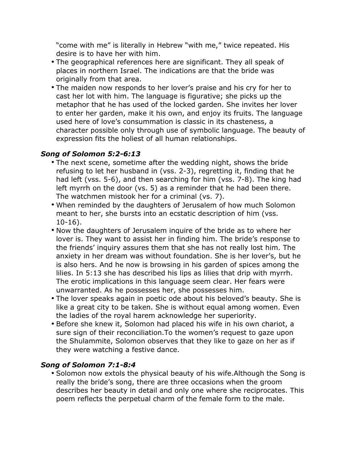"come with me" is literally in Hebrew "with me," twice repeated. His desire is to have her with him.

- The geographical references here are significant. They all speak of places in northern Israel. The indications are that the bride was originally from that area.
- The maiden now responds to her lover's praise and his cry for her to cast her lot with him. The language is figurative; she picks up the metaphor that he has used of the locked garden. She invites her lover to enter her garden, make it his own, and enjoy its fruits. The language used here of love's consummation is classic in its chasteness, a character possible only through use of symbolic language. The beauty of expression fits the holiest of all human relationships.

## *Song of Solomon 5:2-6:13*

- The next scene, sometime after the wedding night, shows the bride refusing to let her husband in (vss. 2-3), regretting it, finding that he had left (vss. 5-6), and then searching for him (vss. 7-8). The king had left myrrh on the door (vs. 5) as a reminder that he had been there. The watchmen mistook her for a criminal (vs. 7).
- When reminded by the daughters of Jerusalem of how much Solomon meant to her, she bursts into an ecstatic description of him (vss. 10-16).
- Now the daughters of Jerusalem inquire of the bride as to where her lover is. They want to assist her in finding him. The bride's response to the friends' inquiry assures them that she has not really lost him. The anxiety in her dream was without foundation. She is her lover's, but he is also hers. And he now is browsing in his garden of spices among the lilies. In 5:13 she has described his lips as lilies that drip with myrrh. The erotic implications in this language seem clear. Her fears were unwarranted. As he possesses her, she possesses him.
- The lover speaks again in poetic ode about his beloved's beauty. She is like a great city to be taken. She is without equal among women. Even the ladies of the royal harem acknowledge her superiority.
- Before she knew it, Solomon had placed his wife in his own chariot, a sure sign of their reconciliation.To the women's request to gaze upon the Shulammite, Solomon observes that they like to gaze on her as if they were watching a festive dance.

## *Song of Solomon 7:1-8:4*

• Solomon now extols the physical beauty of his wife.Although the Song is really the bride's song, there are three occasions when the groom describes her beauty in detail and only one where she reciprocates. This poem reflects the perpetual charm of the female form to the male.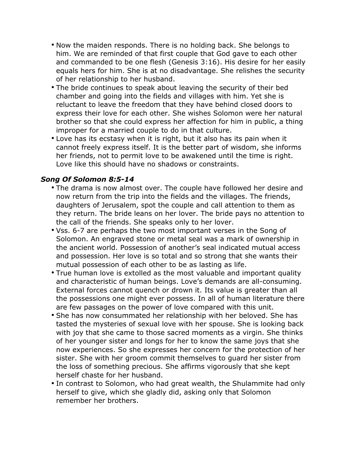- Now the maiden responds. There is no holding back. She belongs to him. We are reminded of that first couple that God gave to each other and commanded to be one flesh (Genesis 3:16). His desire for her easily equals hers for him. She is at no disadvantage. She relishes the security of her relationship to her husband.
- The bride continues to speak about leaving the security of their bed chamber and going into the fields and villages with him. Yet she is reluctant to leave the freedom that they have behind closed doors to express their love for each other. She wishes Solomon were her natural brother so that she could express her affection for him in public, a thing improper for a married couple to do in that culture.
- Love has its ecstasy when it is right, but it also has its pain when it cannot freely express itself. It is the better part of wisdom, she informs her friends, not to permit love to be awakened until the time is right. Love like this should have no shadows or constraints.

#### *Song Of Solomon 8:5-14*

- The drama is now almost over. The couple have followed her desire and now return from the trip into the fields and the villages. The friends, daughters of Jerusalem, spot the couple and call attention to them as they return. The bride leans on her lover. The bride pays no attention to the call of the friends. She speaks only to her lover.
- Vss. 6-7 are perhaps the two most important verses in the Song of Solomon. An engraved stone or metal seal was a mark of ownership in the ancient world. Possession of another's seal indicated mutual access and possession. Her love is so total and so strong that she wants their mutual possession of each other to be as lasting as life.
- True human love is extolled as the most valuable and important quality and characteristic of human beings. Love's demands are all-consuming. External forces cannot quench or drown it. Its value is greater than all the possessions one might ever possess. In all of human literature there are few passages on the power of love compared with this unit.
- She has now consummated her relationship with her beloved. She has tasted the mysteries of sexual love with her spouse. She is looking back with joy that she came to those sacred moments as a virgin. She thinks of her younger sister and longs for her to know the same joys that she now experiences. So she expresses her concern for the protection of her sister. She with her groom commit themselves to guard her sister from the loss of something precious. She affirms vigorously that she kept herself chaste for her husband.
- In contrast to Solomon, who had great wealth, the Shulammite had only herself to give, which she gladly did, asking only that Solomon remember her brothers.